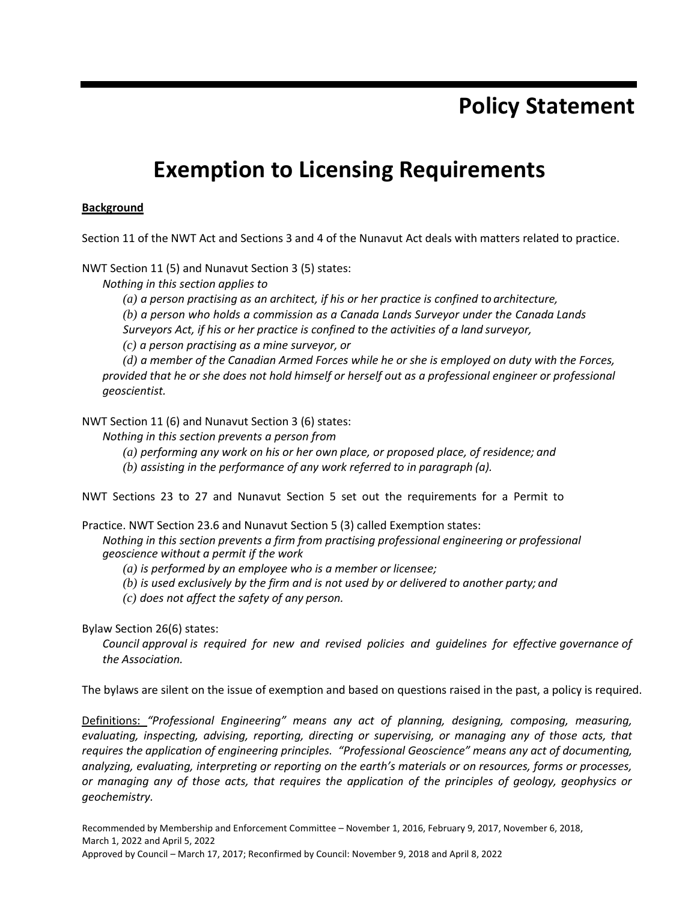## **Policy Statement**

# **Exemption to Licensing Requirements**

#### **Background**

Section 11 of the NWT Act and Sections 3 and 4 of the Nunavut Act deals with matters related to practice.

NWT Section 11 (5) and Nunavut Section 3 (5) states:

*Nothing in this section applies to*

*(a) a person practising as an architect, if his or her practice is confined to architecture, (b) a person who holds a commission as a Canada Lands Surveyor under the Canada Lands* 

*Surveyors Act, if his or her practice is confined to the activities of a land surveyor,*

*(c) a person practising as a mine surveyor, or*

*(d) a member of the Canadian Armed Forces while he or she is employed on duty with the Forces, provided that he or she does not hold himself or herself out as a professional engineer or professional geoscientist.*

NWT Section 11 (6) and Nunavut Section 3 (6) states:

*Nothing in this section prevents a person from*

*(a) performing any work on his or her own place, or proposed place, of residence; and*

*(b) assisting in the performance of any work referred to in paragraph (a).*

NWT Sections 23 to 27 and Nunavut Section 5 set out the requirements for a Permit to

Practice. NWT Section 23.6 and Nunavut Section 5 (3) called Exemption states:

*Nothing in this section prevents a firm from practising professional engineering or professional geoscience without a permit if the work*

*(a) is performed by an employee who is a member or licensee;*

*(b) is used exclusively by the firm and is not used by or delivered to another party; and*

*(c) does not affect the safety of any person.*

Bylaw Section 26(6) states:

*Council approval is required for new and revised policies and guidelines for effective governance of the Association.*

The bylaws are silent on the issue of exemption and based on questions raised in the past, a policy is required.

Definitions: *"Professional Engineering" means any act of planning, designing, composing, measuring, evaluating, inspecting, advising, reporting, directing or supervising, or managing any of those acts, that requires the application of engineering principles. "Professional Geoscience" means any act of documenting, analyzing, evaluating, interpreting or reporting on the earth's materials or on resources, forms or processes, or managing any of those acts, that requires the application of the principles of geology, geophysics or geochemistry.*

Recommended by Membership and Enforcement Committee – November 1, 2016, February 9, 2017, November 6, 2018, March 1, 2022 and April 5, 2022 Approved by Council – March 17, 2017; Reconfirmed by Council: November 9, 2018 and April 8, 2022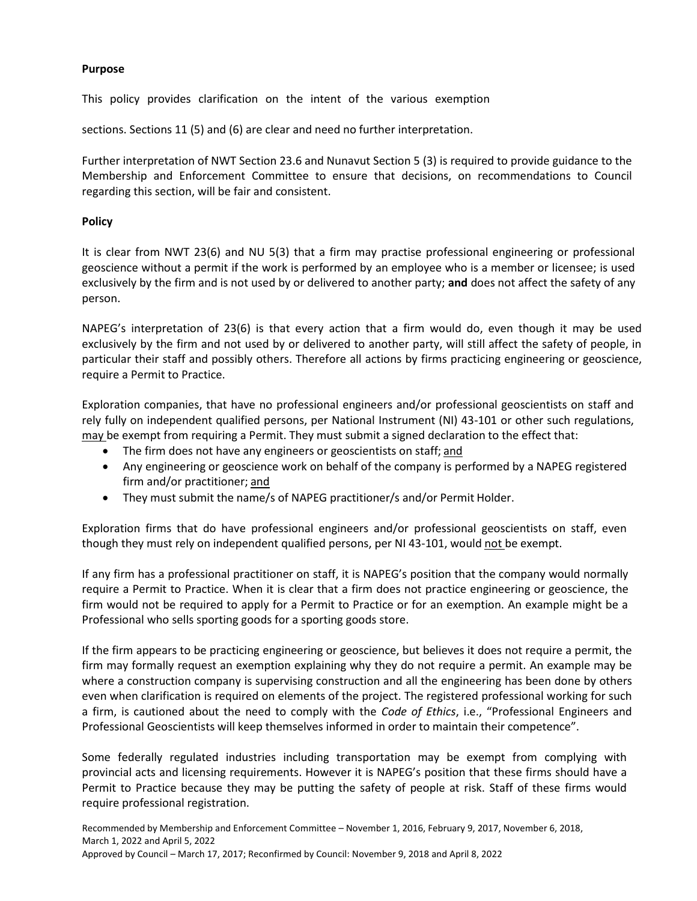#### **Purpose**

This policy provides clarification on the intent of the various exemption

sections. Sections 11 (5) and (6) are clear and need no further interpretation.

Further interpretation of NWT Section 23.6 and Nunavut Section 5 (3) is required to provide guidance to the Membership and Enforcement Committee to ensure that decisions, on recommendations to Council regarding this section, will be fair and consistent.

#### **Policy**

It is clear from NWT 23(6) and NU 5(3) that a firm may practise professional engineering or professional geoscience without a permit if the work is performed by an employee who is a member or licensee; is used exclusively by the firm and is not used by or delivered to another party; **and** does not affect the safety of any person.

NAPEG's interpretation of 23(6) is that every action that a firm would do, even though it may be used exclusively by the firm and not used by or delivered to another party, will still affect the safety of people, in particular their staff and possibly others. Therefore all actions by firms practicing engineering or geoscience, require a Permit to Practice.

Exploration companies, that have no professional engineers and/or professional geoscientists on staff and rely fully on independent qualified persons, per National Instrument (NI) 43-101 or other such regulations, may be exempt from requiring a Permit. They must submit a signed declaration to the effect that:

- The firm does not have any engineers or geoscientists on staff; and
- Any engineering or geoscience work on behalf of the company is performed by a NAPEG registered firm and/or practitioner; and
- They must submit the name/s of NAPEG practitioner/s and/or Permit Holder.

Exploration firms that do have professional engineers and/or professional geoscientists on staff, even though they must rely on independent qualified persons, per NI 43-101, would not be exempt.

If any firm has a professional practitioner on staff, it is NAPEG's position that the company would normally require a Permit to Practice. When it is clear that a firm does not practice engineering or geoscience, the firm would not be required to apply for a Permit to Practice or for an exemption. An example might be a Professional who sells sporting goods for a sporting goods store.

If the firm appears to be practicing engineering or geoscience, but believes it does not require a permit, the firm may formally request an exemption explaining why they do not require a permit. An example may be where a construction company is supervising construction and all the engineering has been done by others even when clarification is required on elements of the project. The registered professional working for such a firm, is cautioned about the need to comply with the *Code of Ethics*, i.e., "Professional Engineers and Professional Geoscientists will keep themselves informed in order to maintain their competence".

Some federally regulated industries including transportation may be exempt from complying with provincial acts and licensing requirements. However it is NAPEG's position that these firms should have a Permit to Practice because they may be putting the safety of people at risk. Staff of these firms would require professional registration.